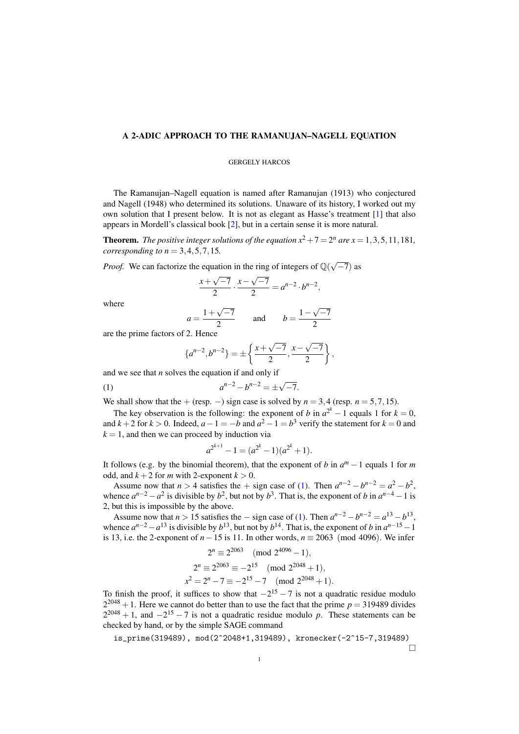## A 2-ADIC APPROACH TO THE RAMANUJAN–NAGELL EQUATION

## GERGELY HARCOS

The Ramanujan–Nagell equation is named after Ramanujan (1913) who conjectured and Nagell (1948) who determined its solutions. Unaware of its history, I worked out my own solution that I present below. It is not as elegant as Hasse's treatment [\[1\]](#page-1-0) that also appears in Mordell's classical book [\[2\]](#page-1-1), but in a certain sense it is more natural.

**Theorem.** The positive integer solutions of the equation  $x^2 + 7 = 2^n$  are  $x = 1, 3, 5, 11, 181$ , *corresponding to*  $n = 3, 4, 5, 7, 15$ *.* 

*Proof.* We can factorize the equation in the ring of integers of  $\mathbb{Q}(\sqrt{-7})$  as

$$
\frac{x+\sqrt{-7}}{2} \cdot \frac{x-\sqrt{-7}}{2} = a^{n-2} \cdot b^{n-2},
$$

where

$$
\frac{1+\sqrt{-7}}{2} \qquad \text{and} \qquad b = \frac{1-\sqrt{-7}}{2}
$$

are the prime factors of 2. Hence

<span id="page-0-0"></span>
$$
\{a^{n-2},b^{n-2}\} = \pm \left\{\frac{x+\sqrt{-7}}{2},\frac{x-\sqrt{-7}}{2}\right\},\,
$$

and we see that *n* solves the equation if and only if

 $a =$ 

(1) 
$$
a^{n-2} - b^{n-2} = \pm \sqrt{-7}.
$$

We shall show that the + (resp. –) sign case is solved by  $n = 3,4$  (resp.  $n = 5,7,15$ ).

The key observation is the following: the exponent of *b* in  $a^{2^k} - 1$  equals 1 for  $k = 0$ , and  $k+2$  for  $k > 0$ . Indeed,  $a-1 = -b$  and  $a^2 - 1 = b^3$  verify the statement for  $k = 0$  and  $k = 1$ , and then we can proceed by induction via

$$
a^{2^{k+1}} - 1 = (a^{2^k} - 1)(a^{2^k} + 1).
$$

It follows (e.g. by the binomial theorem), that the exponent of *b* in  $a^m - 1$  equals 1 for *m* odd, and  $k + 2$  for *m* with 2-exponent  $k > 0$ .

Assume now that  $n > 4$  satisfies the + sign case of [\(1\)](#page-0-0). Then  $a^{n-2} - b^{n-2} = a^2 - b^2$ , whence  $a^{n-2} - a^2$  is divisible by  $b^2$ , but not by  $b^3$ . That is, the exponent of *b* in  $a^{n-4} - 1$  is 2, but this is impossible by the above.

Assume now that  $n > 15$  satisfies the  $-$  sign case of [\(1\)](#page-0-0). Then  $a^{n-2} - b^{n-2} = a^{13} - b^{13}$ , whence  $a^{n-2} - a^{13}$  is divisible by  $b^{13}$ , but not by  $b^{14}$ . That is, the exponent of *b* in  $a^{n-15} - 1$ is 13, i.e. the 2-exponent of  $n-15$  is 11. In other words,  $n \equiv 2063 \pmod{4096}$ . We infer

$$
2^{n} \equiv 2^{2063} \pmod{2^{4096} - 1},
$$
  
\n
$$
2^{n} \equiv 2^{2063} \equiv -2^{15} \pmod{2^{2048} + 1},
$$
  
\n
$$
x^{2} = 2^{n} - 7 \equiv -2^{15} - 7 \pmod{2^{2048} + 1}.
$$

To finish the proof, it suffices to show that  $-2^{15} - 7$  is not a quadratic residue modulo  $2^{2048} + 1$ . Here we cannot do better than to use the fact that the prime  $p = 319489$  divides  $2^{2048} + 1$ , and  $-2^{15} - 7$  is not a quadratic residue modulo p. These statements can be checked by hand, or by the simple SAGE command

is\_prime(319489), mod(2^2048+1,319489), kronecker(-2^15-7,319489)

 $\Box$